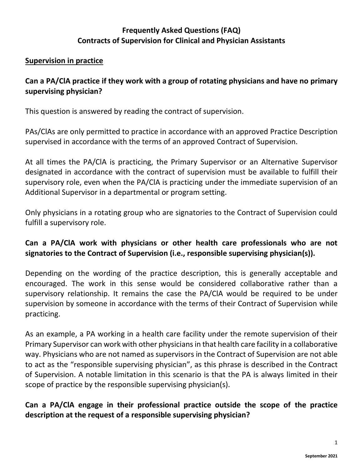### **Frequently Asked Questions (FAQ) Contracts of Supervision for Clinical and Physician Assistants**

#### **Supervision in practice**

#### **Can a PA/ClA practice if they work with a group of rotating physicians and have no primary supervising physician?**

This question is answered by reading the contract of supervision.

PAs/ClAs are only permitted to practice in accordance with an approved Practice Description supervised in accordance with the terms of an approved Contract of Supervision.

At all times the PA/ClA is practicing, the Primary Supervisor or an Alternative Supervisor designated in accordance with the contract of supervision must be available to fulfill their supervisory role, even when the PA/ClA is practicing under the immediate supervision of an Additional Supervisor in a departmental or program setting.

Only physicians in a rotating group who are signatories to the Contract of Supervision could fulfill a supervisory role.

### **Can a PA/ClA work with physicians or other health care professionals who are not signatories to the Contract of Supervision (i.e., responsible supervising physician(s)).**

Depending on the wording of the practice description, this is generally acceptable and encouraged. The work in this sense would be considered collaborative rather than a supervisory relationship. It remains the case the PA/ClA would be required to be under supervision by someone in accordance with the terms of their Contract of Supervision while practicing.

As an example, a PA working in a health care facility under the remote supervision of their Primary Supervisor can work with other physicians in that health care facility in a collaborative way. Physicians who are not named as supervisors in the Contract of Supervision are not able to act as the "responsible supervising physician", as this phrase is described in the Contract of Supervision. A notable limitation in this scenario is that the PA is always limited in their scope of practice by the responsible supervising physician(s).

### **Can a PA/ClA engage in their professional practice outside the scope of the practice description at the request of a responsible supervising physician?**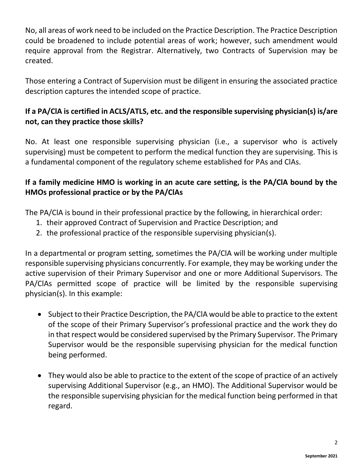No, all areas of work need to be included on the Practice Description. The Practice Description could be broadened to include potential areas of work; however, such amendment would require approval from the Registrar. Alternatively, two Contracts of Supervision may be created.

Those entering a Contract of Supervision must be diligent in ensuring the associated practice description captures the intended scope of practice.

# **If a PA/ClA is certified in ACLS/ATLS, etc. and the responsible supervising physician(s) is/are not, can they practice those skills?**

No. At least one responsible supervising physician (i.e., a supervisor who is actively supervising) must be competent to perform the medical function they are supervising. This is a fundamental component of the regulatory scheme established for PAs and ClAs.

# **If a family medicine HMO is working in an acute care setting, is the PA/ClA bound by the HMOs professional practice or by the PA/ClAs**

The PA/ClA is bound in their professional practice by the following, in hierarchical order:

- 1. their approved Contract of Supervision and Practice Description; and
- 2. the professional practice of the responsible supervising physician(s).

In a departmental or program setting, sometimes the PA/ClA will be working under multiple responsible supervising physicians concurrently. For example, they may be working under the active supervision of their Primary Supervisor and one or more Additional Supervisors. The PA/ClAs permitted scope of practice will be limited by the responsible supervising physician(s). In this example:

- Subject to their Practice Description, the PA/ClA would be able to practice to the extent of the scope of their Primary Supervisor's professional practice and the work they do in that respect would be considered supervised by the Primary Supervisor. The Primary Supervisor would be the responsible supervising physician for the medical function being performed.
- They would also be able to practice to the extent of the scope of practice of an actively supervising Additional Supervisor (e.g., an HMO). The Additional Supervisor would be the responsible supervising physician for the medical function being performed in that regard.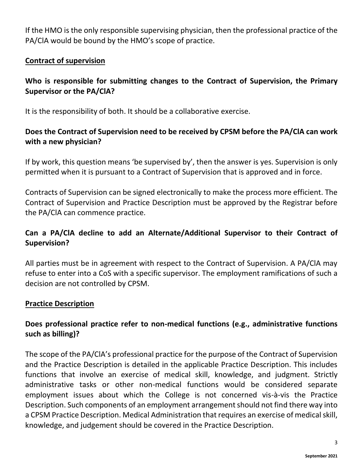If the HMO is the only responsible supervising physician, then the professional practice of the PA/ClA would be bound by the HMO's scope of practice.

#### **Contract of supervision**

### **Who is responsible for submitting changes to the Contract of Supervision, the Primary Supervisor or the PA/ClA?**

It is the responsibility of both. It should be a collaborative exercise.

# **Does the Contract of Supervision need to be received by CPSM before the PA/ClA can work with a new physician?**

If by work, this question means 'be supervised by', then the answer is yes. Supervision is only permitted when it is pursuant to a Contract of Supervision that is approved and in force.

Contracts of Supervision can be signed electronically to make the process more efficient. The Contract of Supervision and Practice Description must be approved by the Registrar before the PA/ClA can commence practice.

# **Can a PA/ClA decline to add an Alternate/Additional Supervisor to their Contract of Supervision?**

All parties must be in agreement with respect to the Contract of Supervision. A PA/ClA may refuse to enter into a CoS with a specific supervisor. The employment ramifications of such a decision are not controlled by CPSM.

#### **Practice Description**

# **Does professional practice refer to non-medical functions (e.g., administrative functions such as billing)?**

The scope of the PA/ClA's professional practice for the purpose of the Contract of Supervision and the Practice Description is detailed in the applicable Practice Description. This includes functions that involve an exercise of medical skill, knowledge, and judgment. Strictly administrative tasks or other non-medical functions would be considered separate employment issues about which the College is not concerned vis-à-vis the Practice Description. Such components of an employment arrangement should not find there way into a CPSM Practice Description. Medical Administration that requires an exercise of medical skill, knowledge, and judgement should be covered in the Practice Description.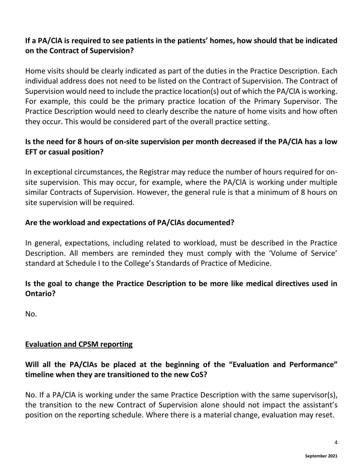# **If a PA/ClA is required to see patients in the patients' homes, how should that be indicated on the Contract of Supervision?**

Home visits should be clearly indicated as part of the duties in the Practice Description. Each individual address does not need to be listed on the Contract of Supervision. The Contract of Supervision would need to include the practice location(s) out of which the PA/ClA is working. For example, this could be the primary practice location of the Primary Supervisor. The Practice Description would need to clearly describe the nature of home visits and how often they occur. This would be considered part of the overall practice setting.

# **Is the need for 8 hours of on-site supervision per month decreased if the PA/ClA has a low EFT or casual position?**

In exceptional circumstances, the Registrar may reduce the number of hours required for onsite supervision. This may occur, for example, where the PA/ClA is working under multiple similar Contracts of Supervision. However, the general rule is that a minimum of 8 hours on site supervision will be required.

### **Are the workload and expectations of PA/ClAs documented?**

In general, expectations, including related to workload, must be described in the Practice Description. All members are reminded they must comply with the 'Volume of Service' standard at Schedule I to the College's Standards of Practice of Medicine.

# **Is the goal to change the Practice Description to be more like medical directives used in Ontario?**

No.

# **Evaluation and CPSM reporting**

# **Will all the PA/ClAs be placed at the beginning of the "Evaluation and Performance" timeline when they are transitioned to the new CoS?**

No. If a PA/ClA is working under the same Practice Description with the same supervisor(s), the transition to the new Contract of Supervision alone should not impact the assistant's position on the reporting schedule. Where there is a material change, evaluation may reset.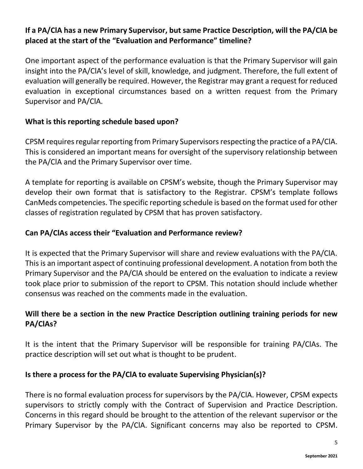### **If a PA/ClA has a new Primary Supervisor, but same Practice Description, will the PA/ClA be placed at the start of the "Evaluation and Performance" timeline?**

One important aspect of the performance evaluation is that the Primary Supervisor will gain insight into the PA/ClA's level of skill, knowledge, and judgment. Therefore, the full extent of evaluation will generally be required. However, the Registrar may grant a request for reduced evaluation in exceptional circumstances based on a written request from the Primary Supervisor and PA/ClA.

#### **What is this reporting schedule based upon?**

CPSM requires regular reporting from Primary Supervisors respecting the practice of a PA/ClA. This is considered an important means for oversight of the supervisory relationship between the PA/ClA and the Primary Supervisor over time.

A template for reporting is available on CPSM's website, though the Primary Supervisor may develop their own format that is satisfactory to the Registrar. CPSM's template follows CanMeds competencies. The specific reporting schedule is based on the format used for other classes of registration regulated by CPSM that has proven satisfactory.

#### **Can PA/ClAs access their "Evaluation and Performance review?**

It is expected that the Primary Supervisor will share and review evaluations with the PA/ClA. This is an important aspect of continuing professional development. A notation from both the Primary Supervisor and the PA/ClA should be entered on the evaluation to indicate a review took place prior to submission of the report to CPSM. This notation should include whether consensus was reached on the comments made in the evaluation.

### **Will there be a section in the new Practice Description outlining training periods for new PA/ClAs?**

It is the intent that the Primary Supervisor will be responsible for training PA/ClAs. The practice description will set out what is thought to be prudent.

#### **Is there a process for the PA/ClA to evaluate Supervising Physician(s)?**

There is no formal evaluation process for supervisors by the PA/ClA. However, CPSM expects supervisors to strictly comply with the Contract of Supervision and Practice Description. Concerns in this regard should be brought to the attention of the relevant supervisor or the Primary Supervisor by the PA/ClA. Significant concerns may also be reported to CPSM.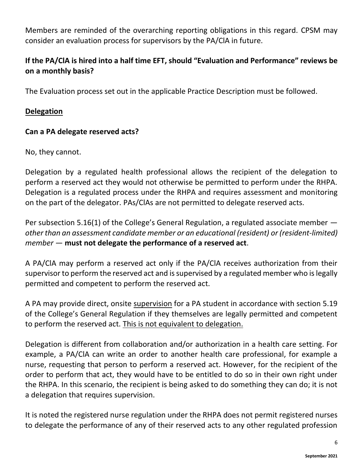Members are reminded of the overarching reporting obligations in this regard. CPSM may consider an evaluation process for supervisors by the PA/ClA in future.

# **If the PA/ClA is hired into a half time EFT, should "Evaluation and Performance" reviews be on a monthly basis?**

The Evaluation process set out in the applicable Practice Description must be followed.

#### **Delegation**

#### **Can a PA delegate reserved acts?**

No, they cannot.

Delegation by a regulated health professional allows the recipient of the delegation to perform a reserved act they would not otherwise be permitted to perform under the RHPA. Delegation is a regulated process under the RHPA and requires assessment and monitoring on the part of the delegator. PAs/ClAs are not permitted to delegate reserved acts.

Per subsection 5.16(1) of the College's General Regulation, a regulated associate member *other than an assessment candidate member or an educational (resident) or (resident-limited) member* — **must not delegate the performance of a reserved act**.

A PA/ClA may perform a reserved act only if the PA/ClA receives authorization from their supervisor to perform the reserved act and is supervised by a regulated member who is legally permitted and competent to perform the reserved act.

A PA may provide direct, onsite supervision for a PA student in accordance with section 5.19 of the College's General Regulation if they themselves are legally permitted and competent to perform the reserved act. This is not equivalent to delegation.

Delegation is different from collaboration and/or authorization in a health care setting. For example, a PA/ClA can write an order to another health care professional, for example a nurse, requesting that person to perform a reserved act. However, for the recipient of the order to perform that act, they would have to be entitled to do so in their own right under the RHPA. In this scenario, the recipient is being asked to do something they can do; it is not a delegation that requires supervision.

It is noted the registered nurse regulation under the RHPA does not permit registered nurses to delegate the performance of any of their reserved acts to any other regulated profession